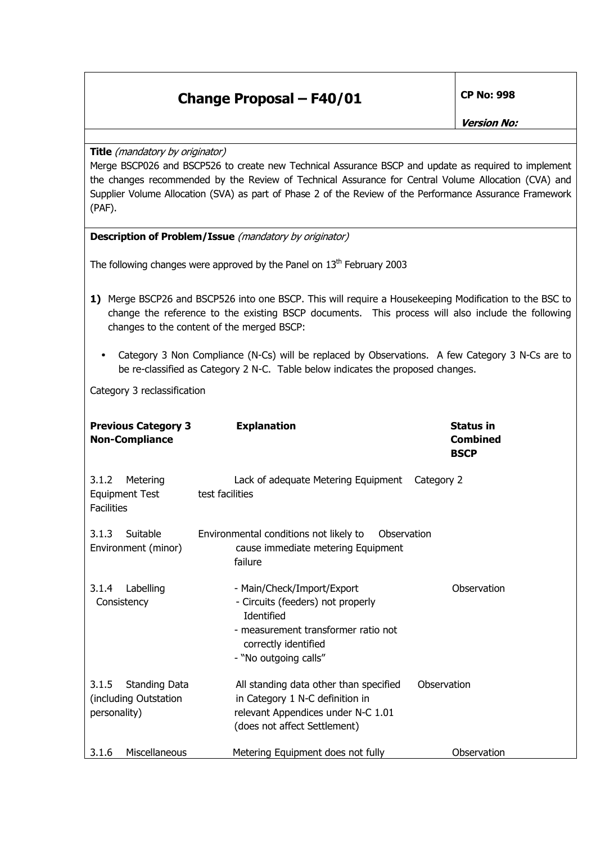**Version No:** 

**Title** (mandatory by originator)

Merge BSCP026 and BSCP526 to create new Technical Assurance BSCP and update as required to implement the changes recommended by the Review of Technical Assurance for Central Volume Allocation (CVA) and Supplier Volume Allocation (SVA) as part of Phase 2 of the Review of the Performance Assurance Framework (PAF).

|  | Description of Problem/Issue (mandatory by originator) |
|--|--------------------------------------------------------|
|  |                                                        |

The following changes were approved by the Panel on  $13<sup>th</sup>$  February 2003

- **1)** Merge BSCP26 and BSCP526 into one BSCP. This will require a Housekeeping Modification to the BSC to change the reference to the existing BSCP documents. This process will also include the following changes to the content of the merged BSCP:
	- Category 3 Non Compliance (N-Cs) will be replaced by Observations. A few Category 3 N-Cs are to be re-classified as Category 2 N-C. Table below indicates the proposed changes.

Category 3 reclassification

| <b>Previous Category 3</b><br><b>Non-Compliance</b>             | <b>Explanation</b>                                                                                                                                                    | <b>Status in</b><br><b>Combined</b><br><b>BSCP</b> |
|-----------------------------------------------------------------|-----------------------------------------------------------------------------------------------------------------------------------------------------------------------|----------------------------------------------------|
| 3.1.2<br>Metering<br><b>Equipment Test</b><br><b>Facilities</b> | Lack of adequate Metering Equipment<br>test facilities                                                                                                                | Category 2                                         |
| Suitable<br>3.1.3<br>Environment (minor)                        | Environmental conditions not likely to<br>Observation<br>cause immediate metering Equipment<br>failure                                                                |                                                    |
| 3.1.4<br>Labelling<br>Consistency                               | - Main/Check/Import/Export<br>- Circuits (feeders) not properly<br>Identified<br>- measurement transformer ratio not<br>correctly identified<br>- "No outgoing calls" | Observation                                        |
| 3.1.5<br>Standing Data<br>(including Outstation<br>personality) | All standing data other than specified<br>in Category 1 N-C definition in<br>relevant Appendices under N-C 1.01<br>(does not affect Settlement)                       | Observation                                        |
| Miscellaneous<br>3.1.6                                          | Metering Equipment does not fully                                                                                                                                     | Observation                                        |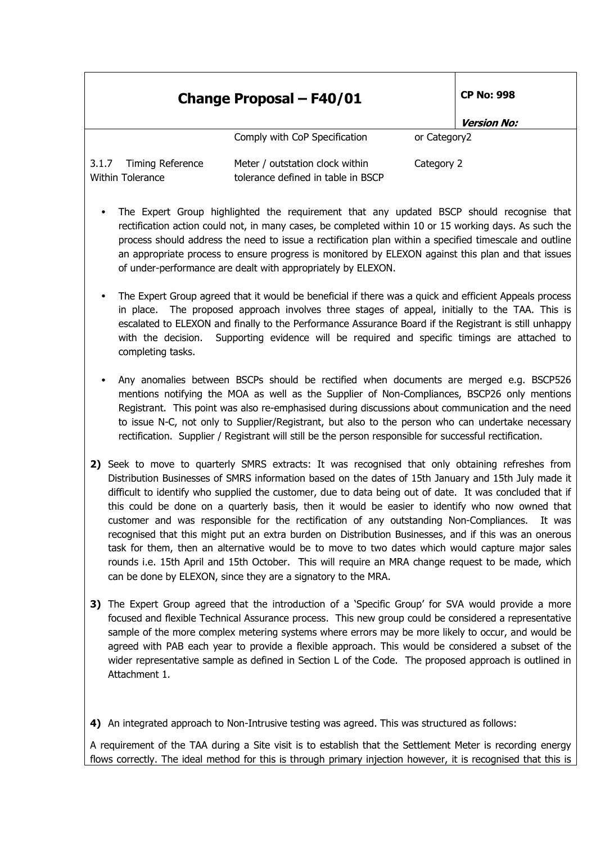| <b>Change Proposal - F40/01</b>                             |                                                                       | <b>CP No: 998</b> |                    |
|-------------------------------------------------------------|-----------------------------------------------------------------------|-------------------|--------------------|
|                                                             |                                                                       |                   | <b>Version No:</b> |
|                                                             | Comply with CoP Specification                                         | or Category2      |                    |
| <b>Timing Reference</b><br>3.1.7<br><b>Within Tolerance</b> | Meter / outstation clock within<br>tolerance defined in table in BSCP | Category 2        |                    |

- The Expert Group highlighted the requirement that any updated BSCP should recognise that rectification action could not, in many cases, be completed within 10 or 15 working days. As such the process should address the need to issue a rectification plan within a specified timescale and outline an appropriate process to ensure progress is monitored by ELEXON against this plan and that issues of under-performance are dealt with appropriately by ELEXON.
- The Expert Group agreed that it would be beneficial if there was a quick and efficient Appeals process in place. The proposed approach involves three stages of appeal, initially to the TAA. This is escalated to ELEXON and finally to the Performance Assurance Board if the Registrant is still unhappy with the decision. Supporting evidence will be required and specific timings are attached to completing tasks.
- Any anomalies between BSCPs should be rectified when documents are merged e.g. BSCP526 mentions notifying the MOA as well as the Supplier of Non-Compliances, BSCP26 only mentions Registrant. This point was also re-emphasised during discussions about communication and the need to issue N-C, not only to Supplier/Registrant, but also to the person who can undertake necessary rectification. Supplier / Registrant will still be the person responsible for successful rectification.
- **2)** Seek to move to quarterly SMRS extracts: It was recognised that only obtaining refreshes from Distribution Businesses of SMRS information based on the dates of 15th January and 15th July made it difficult to identify who supplied the customer, due to data being out of date. It was concluded that if this could be done on a quarterly basis, then it would be easier to identify who now owned that customer and was responsible for the rectification of any outstanding Non-Compliances. It was recognised that this might put an extra burden on Distribution Businesses, and if this was an onerous task for them, then an alternative would be to move to two dates which would capture major sales rounds i.e. 15th April and 15th October. This will require an MRA change request to be made, which can be done by ELEXON, since they are a signatory to the MRA.
- **3)** The Expert Group agreed that the introduction of a 'Specific Group' for SVA would provide a more focused and flexible Technical Assurance process. This new group could be considered a representative sample of the more complex metering systems where errors may be more likely to occur, and would be agreed with PAB each year to provide a flexible approach. This would be considered a subset of the wider representative sample as defined in Section L of the Code. The proposed approach is outlined in Attachment 1.
- **4)** An integrated approach to Non-Intrusive testing was agreed. This was structured as follows:

A requirement of the TAA during a Site visit is to establish that the Settlement Meter is recording energy flows correctly. The ideal method for this is through primary injection however, it is recognised that this is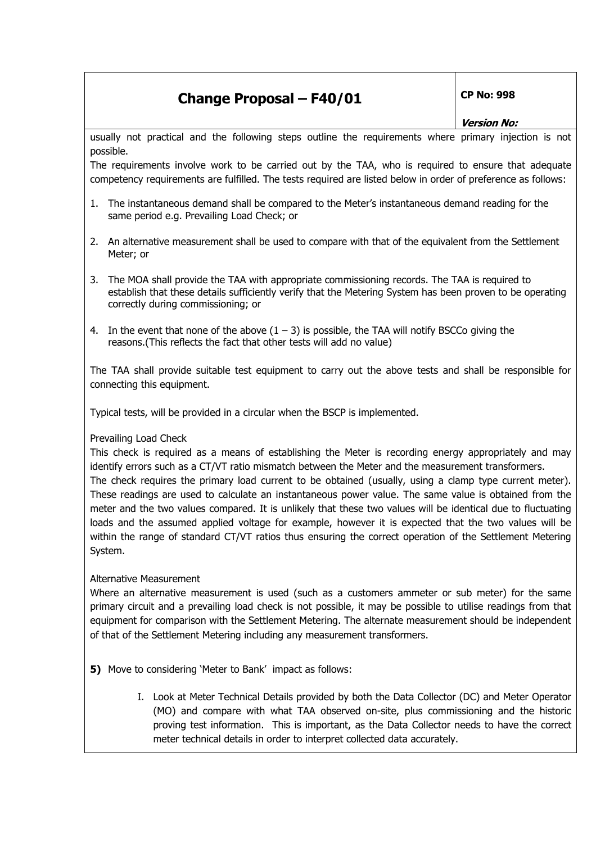## **Version No:**

usually not practical and the following steps outline the requirements where primary injection is not possible.

The requirements involve work to be carried out by the TAA, who is required to ensure that adequate competency requirements are fulfilled. The tests required are listed below in order of preference as follows:

- 1. The instantaneous demand shall be compared to the Meter's instantaneous demand reading for the same period e.g. Prevailing Load Check; or
- 2. An alternative measurement shall be used to compare with that of the equivalent from the Settlement Meter; or
- 3. The MOA shall provide the TAA with appropriate commissioning records. The TAA is required to establish that these details sufficiently verify that the Metering System has been proven to be operating correctly during commissioning; or
- 4. In the event that none of the above  $(1 3)$  is possible, the TAA will notify BSCCo giving the reasons.(This reflects the fact that other tests will add no value)

The TAA shall provide suitable test equipment to carry out the above tests and shall be responsible for connecting this equipment.

Typical tests, will be provided in a circular when the BSCP is implemented.

### Prevailing Load Check

This check is required as a means of establishing the Meter is recording energy appropriately and may identify errors such as a CT/VT ratio mismatch between the Meter and the measurement transformers. The check requires the primary load current to be obtained (usually, using a clamp type current meter).

These readings are used to calculate an instantaneous power value. The same value is obtained from the meter and the two values compared. It is unlikely that these two values will be identical due to fluctuating loads and the assumed applied voltage for example, however it is expected that the two values will be within the range of standard CT/VT ratios thus ensuring the correct operation of the Settlement Metering System.

### Alternative Measurement

Where an alternative measurement is used (such as a customers ammeter or sub meter) for the same primary circuit and a prevailing load check is not possible, it may be possible to utilise readings from that equipment for comparison with the Settlement Metering. The alternate measurement should be independent of that of the Settlement Metering including any measurement transformers.

**5)** Move to considering 'Meter to Bank' impact as follows:

I. Look at Meter Technical Details provided by both the Data Collector (DC) and Meter Operator (MO) and compare with what TAA observed on-site, plus commissioning and the historic proving test information. This is important, as the Data Collector needs to have the correct meter technical details in order to interpret collected data accurately.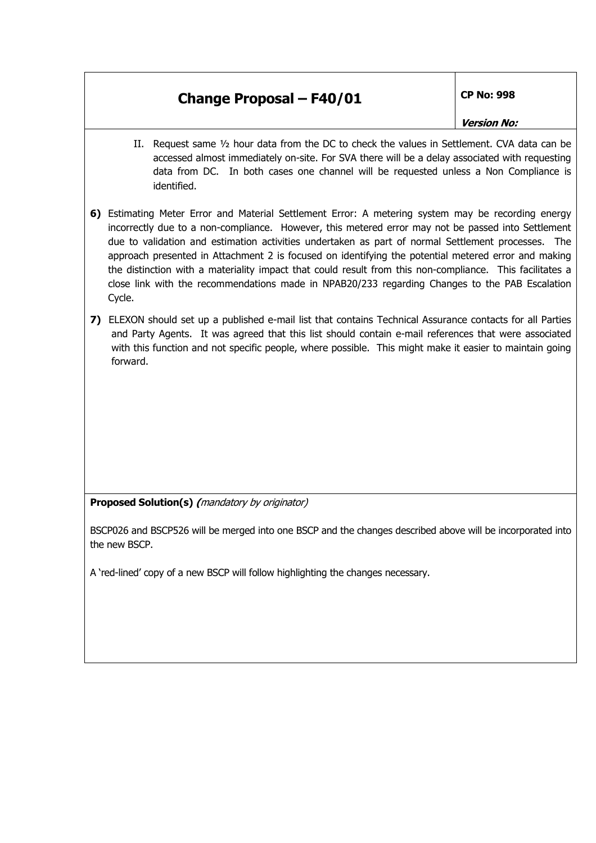#### **Version No:**

- II. Request same ½ hour data from the DC to check the values in Settlement. CVA data can be accessed almost immediately on-site. For SVA there will be a delay associated with requesting data from DC. In both cases one channel will be requested unless a Non Compliance is identified.
- **6)** Estimating Meter Error and Material Settlement Error: A metering system may be recording energy incorrectly due to a non-compliance. However, this metered error may not be passed into Settlement due to validation and estimation activities undertaken as part of normal Settlement processes. The approach presented in Attachment 2 is focused on identifying the potential metered error and making the distinction with a materiality impact that could result from this non-compliance. This facilitates a close link with the recommendations made in NPAB20/233 regarding Changes to the PAB Escalation Cycle.
- **7)** ELEXON should set up a published e-mail list that contains Technical Assurance contacts for all Parties and Party Agents. It was agreed that this list should contain e-mail references that were associated with this function and not specific people, where possible. This might make it easier to maintain going forward.

**Proposed Solution(s) (**mandatory by originator)

BSCP026 and BSCP526 will be merged into one BSCP and the changes described above will be incorporated into the new BSCP.

A 'red-lined' copy of a new BSCP will follow highlighting the changes necessary.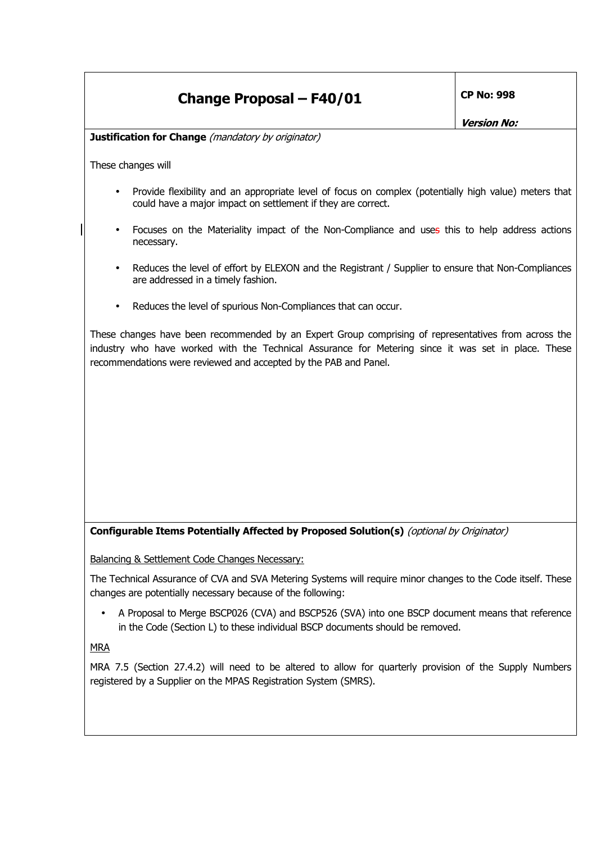**Version No:** 

**Justification for Change** (mandatory by originator)

These changes will

- Provide flexibility and an appropriate level of focus on complex (potentially high value) meters that could have a major impact on settlement if they are correct.
- Focuses on the Materiality impact of the Non-Compliance and uses this to help address actions necessary.
- Reduces the level of effort by ELEXON and the Registrant / Supplier to ensure that Non-Compliances are addressed in a timely fashion.
- Reduces the level of spurious Non-Compliances that can occur.

These changes have been recommended by an Expert Group comprising of representatives from across the industry who have worked with the Technical Assurance for Metering since it was set in place. These recommendations were reviewed and accepted by the PAB and Panel.

### **Configurable Items Potentially Affected by Proposed Solution(s)** (optional by Originator)

Balancing & Settlement Code Changes Necessary:

The Technical Assurance of CVA and SVA Metering Systems will require minor changes to the Code itself. These changes are potentially necessary because of the following:

• A Proposal to Merge BSCP026 (CVA) and BSCP526 (SVA) into one BSCP document means that reference in the Code (Section L) to these individual BSCP documents should be removed.

MRA

MRA 7.5 (Section 27.4.2) will need to be altered to allow for quarterly provision of the Supply Numbers registered by a Supplier on the MPAS Registration System (SMRS).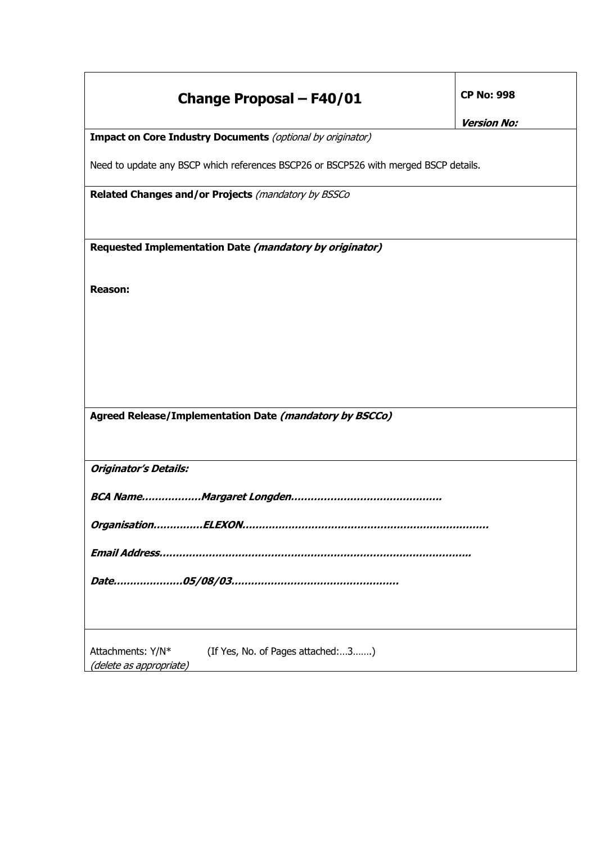| <b>Change Proposal - F40/01</b>                                                      | <b>CP No: 998</b><br><b>Version No:</b> |  |  |  |
|--------------------------------------------------------------------------------------|-----------------------------------------|--|--|--|
| Impact on Core Industry Documents (optional by originator)                           |                                         |  |  |  |
| Need to update any BSCP which references BSCP26 or BSCP526 with merged BSCP details. |                                         |  |  |  |
| Related Changes and/or Projects (mandatory by BSSCo                                  |                                         |  |  |  |
|                                                                                      |                                         |  |  |  |
| Requested Implementation Date (mandatory by originator)                              |                                         |  |  |  |
|                                                                                      |                                         |  |  |  |
| <b>Reason:</b>                                                                       |                                         |  |  |  |
|                                                                                      |                                         |  |  |  |
|                                                                                      |                                         |  |  |  |
|                                                                                      |                                         |  |  |  |
|                                                                                      |                                         |  |  |  |
|                                                                                      |                                         |  |  |  |
| Agreed Release/Implementation Date (mandatory by BSCCo)                              |                                         |  |  |  |
|                                                                                      |                                         |  |  |  |
| <b>Originator's Details:</b>                                                         |                                         |  |  |  |
|                                                                                      |                                         |  |  |  |
|                                                                                      |                                         |  |  |  |
|                                                                                      |                                         |  |  |  |
|                                                                                      |                                         |  |  |  |
|                                                                                      |                                         |  |  |  |
|                                                                                      |                                         |  |  |  |
|                                                                                      |                                         |  |  |  |
| Attachments: Y/N*<br>(If Yes, No. of Pages attached:3)<br>(delete as appropriate)    |                                         |  |  |  |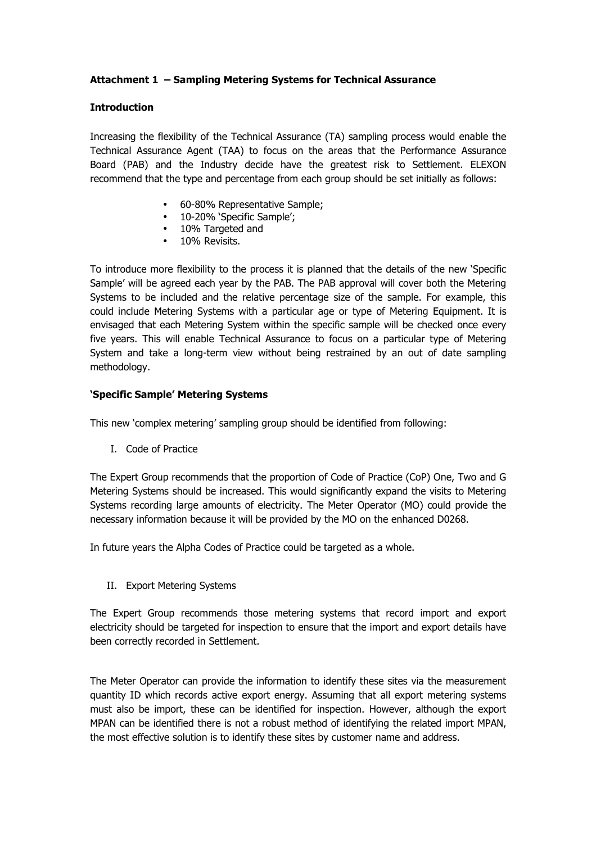### **Attachment 1 – Sampling Metering Systems for Technical Assurance**

#### **Introduction**

Increasing the flexibility of the Technical Assurance (TA) sampling process would enable the Technical Assurance Agent (TAA) to focus on the areas that the Performance Assurance Board (PAB) and the Industry decide have the greatest risk to Settlement. ELEXON recommend that the type and percentage from each group should be set initially as follows:

- 60-80% Representative Sample:
- 10-20% 'Specific Sample';
- 10% Targeted and
- 10% Revisits.

To introduce more flexibility to the process it is planned that the details of the new 'Specific Sample' will be agreed each year by the PAB. The PAB approval will cover both the Metering Systems to be included and the relative percentage size of the sample. For example, this could include Metering Systems with a particular age or type of Metering Equipment. It is envisaged that each Metering System within the specific sample will be checked once every five years. This will enable Technical Assurance to focus on a particular type of Metering System and take a long-term view without being restrained by an out of date sampling methodology.

#### **'Specific Sample' Metering Systems**

This new 'complex metering' sampling group should be identified from following:

I. Code of Practice

The Expert Group recommends that the proportion of Code of Practice (CoP) One, Two and G Metering Systems should be increased. This would significantly expand the visits to Metering Systems recording large amounts of electricity. The Meter Operator (MO) could provide the necessary information because it will be provided by the MO on the enhanced D0268.

In future years the Alpha Codes of Practice could be targeted as a whole.

II. Export Metering Systems

The Expert Group recommends those metering systems that record import and export electricity should be targeted for inspection to ensure that the import and export details have been correctly recorded in Settlement.

The Meter Operator can provide the information to identify these sites via the measurement quantity ID which records active export energy. Assuming that all export metering systems must also be import, these can be identified for inspection. However, although the export MPAN can be identified there is not a robust method of identifying the related import MPAN, the most effective solution is to identify these sites by customer name and address.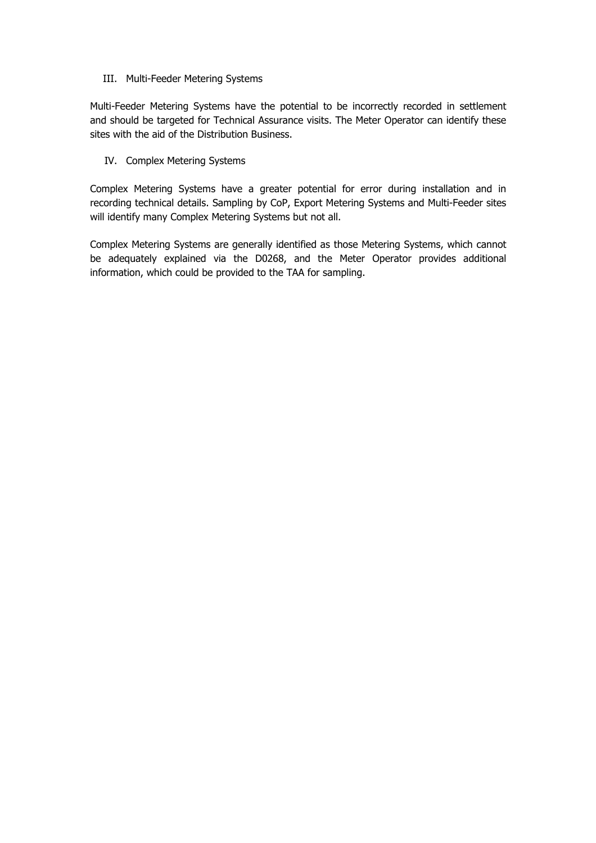#### III. Multi-Feeder Metering Systems

Multi-Feeder Metering Systems have the potential to be incorrectly recorded in settlement and should be targeted for Technical Assurance visits. The Meter Operator can identify these sites with the aid of the Distribution Business.

#### IV. Complex Metering Systems

Complex Metering Systems have a greater potential for error during installation and in recording technical details. Sampling by CoP, Export Metering Systems and Multi-Feeder sites will identify many Complex Metering Systems but not all.

Complex Metering Systems are generally identified as those Metering Systems, which cannot be adequately explained via the D0268, and the Meter Operator provides additional information, which could be provided to the TAA for sampling.